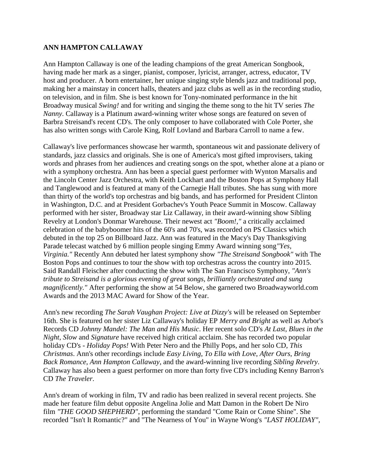## **ANN HAMPTON CALLAWAY**

Ann Hampton Callaway is one of the leading champions of the great American Songbook, having made her mark as a singer, pianist, composer, lyricist, arranger, actress, educator, TV host and producer. A born entertainer, her unique singing style blends jazz and traditional pop, making her a mainstay in concert halls, theaters and jazz clubs as well as in the recording studio, on television, and in film. She is best known for Tony-nominated performance in the hit Broadway musical *Swing!* and for writing and singing the theme song to the hit TV series *The Nanny*. Callaway is a Platinum award-winning writer whose songs are featured on seven of Barbra Streisand's recent CD's. The only composer to have collaborated with Cole Porter, she has also written songs with Carole King, Rolf Lovland and Barbara Carroll to name a few.

Callaway's live performances showcase her warmth, spontaneous wit and passionate delivery of standards, jazz classics and originals. She is one of America's most gifted improvisers, taking words and phrases from her audiences and creating songs on the spot, whether alone at a piano or with a symphony orchestra. Ann has been a special guest performer with Wynton Marsalis and the Lincoln Center Jazz Orchestra, with Keith Lockhart and the Boston Pops at Symphony Hall and Tanglewood and is featured at many of the Carnegie Hall tributes. She has sung with more than thirty of the world's top orchestras and big bands, and has performed for President Clinton in Washington, D.C. and at President Gorbachev's Youth Peace Summit in Moscow. Callaway performed with her sister, Broadway star Liz Callaway, in their award-winning show Sibling Revelry at London's Donmar Warehouse. Their newest act *"Boom!,"* a critically acclaimed celebration of the babyboomer hits of the 60's and 70's, was recorded on PS Classics which debuted in the top 25 on Billboard Jazz. Ann was featured in the Macy's Day Thanksgiving Parade telecast watched by 6 million people singing Emmy Award winning song*"Yes, Virginia."* Recently Ann debuted her latest symphony show *"The Streisand Songbook"* with The Boston Pops and continues to tour the show with top orchestras across the country into 2015. Said Randall Fleischer after conducting the show with The San Francisco Symphony, *"Ann's tribute to Streisand is a glorious evening of great songs, brilliantly orchestrated and sung magnificently."* After performing the show at 54 Below, she garnered two Broadwayworld.com Awards and the 2013 MAC Award for Show of the Year.

Ann's new recording *The Sarah Vaughan Project: Live at Dizzy's* will be released on September 16th. She is featured on her sister Liz Callaway's holiday EP *Merry and Bright* as well as Arbor's Records CD *Johnny Mandel: The Man and His Music*. Her recent solo CD's *At Last*, *Blues in the Night*, *Slow* and *Signature* have received high critical acclaim. She has recorded two popular holiday CD's - *Holiday Pops!* With Peter Nero and the Philly Pops, and her solo CD, *This Christmas*. Ann's other recordings include *Easy Living*, *To Ella with Love*, *After Ours*, *Bring Back Romance*, *Ann Hampton Callaway*, and the award-winning live recording *Sibling Revelry*. Callaway has also been a guest performer on more than forty five CD's including Kenny Barron's CD *The Traveler*.

Ann's dream of working in film, TV and radio has been realized in several recent projects. She made her feature film debut opposite Angelina Jolie and Matt Damon in the Robert De Niro film *"THE GOOD SHEPHERD"*, performing the standard "Come Rain or Come Shine". She recorded "Isn't It Romantic?" and "The Nearness of You" in Wayne Wong's *"LAST HOLIDAY"*,